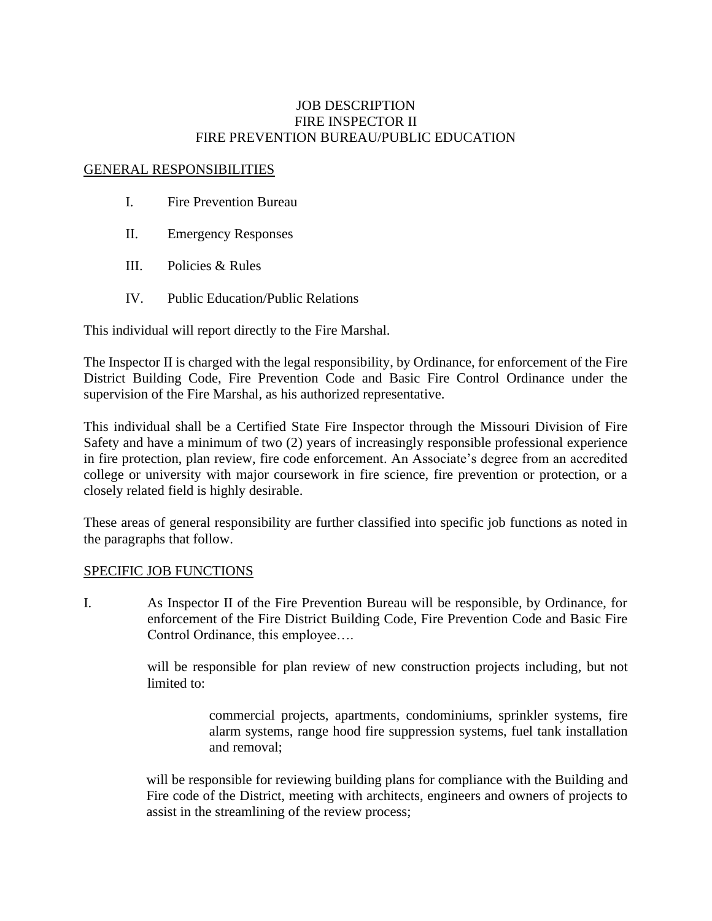## JOB DESCRIPTION FIRE INSPECTOR II FIRE PREVENTION BUREAU/PUBLIC EDUCATION

## GENERAL RESPONSIBILITIES

- I. Fire Prevention Bureau
- II. Emergency Responses
- III. Policies & Rules
- IV. Public Education/Public Relations

This individual will report directly to the Fire Marshal.

The Inspector II is charged with the legal responsibility, by Ordinance, for enforcement of the Fire District Building Code, Fire Prevention Code and Basic Fire Control Ordinance under the supervision of the Fire Marshal, as his authorized representative.

This individual shall be a Certified State Fire Inspector through the Missouri Division of Fire Safety and have a minimum of two (2) years of increasingly responsible professional experience in fire protection, plan review, fire code enforcement. An Associate's degree from an accredited college or university with major coursework in fire science, fire prevention or protection, or a closely related field is highly desirable.

These areas of general responsibility are further classified into specific job functions as noted in the paragraphs that follow.

## SPECIFIC JOB FUNCTIONS

I. As Inspector II of the Fire Prevention Bureau will be responsible, by Ordinance, for enforcement of the Fire District Building Code, Fire Prevention Code and Basic Fire Control Ordinance, this employee….

> will be responsible for plan review of new construction projects including, but not limited to:

> > commercial projects, apartments, condominiums, sprinkler systems, fire alarm systems, range hood fire suppression systems, fuel tank installation and removal;

will be responsible for reviewing building plans for compliance with the Building and Fire code of the District, meeting with architects, engineers and owners of projects to assist in the streamlining of the review process;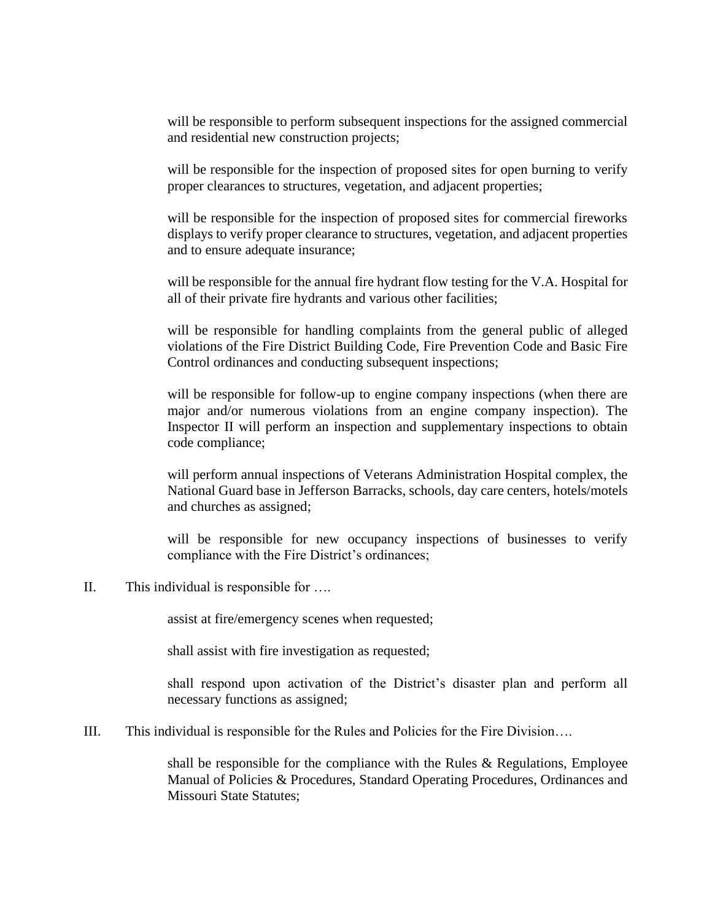will be responsible to perform subsequent inspections for the assigned commercial and residential new construction projects;

will be responsible for the inspection of proposed sites for open burning to verify proper clearances to structures, vegetation, and adjacent properties;

will be responsible for the inspection of proposed sites for commercial fireworks displays to verify proper clearance to structures, vegetation, and adjacent properties and to ensure adequate insurance;

will be responsible for the annual fire hydrant flow testing for the V.A. Hospital for all of their private fire hydrants and various other facilities;

will be responsible for handling complaints from the general public of alleged violations of the Fire District Building Code, Fire Prevention Code and Basic Fire Control ordinances and conducting subsequent inspections;

will be responsible for follow-up to engine company inspections (when there are major and/or numerous violations from an engine company inspection). The Inspector II will perform an inspection and supplementary inspections to obtain code compliance;

will perform annual inspections of Veterans Administration Hospital complex, the National Guard base in Jefferson Barracks, schools, day care centers, hotels/motels and churches as assigned;

will be responsible for new occupancy inspections of businesses to verify compliance with the Fire District's ordinances;

II. This individual is responsible for ….

assist at fire/emergency scenes when requested;

shall assist with fire investigation as requested;

shall respond upon activation of the District's disaster plan and perform all necessary functions as assigned;

III. This individual is responsible for the Rules and Policies for the Fire Division….

shall be responsible for the compliance with the Rules  $\&$  Regulations, Employee Manual of Policies & Procedures, Standard Operating Procedures, Ordinances and Missouri State Statutes: